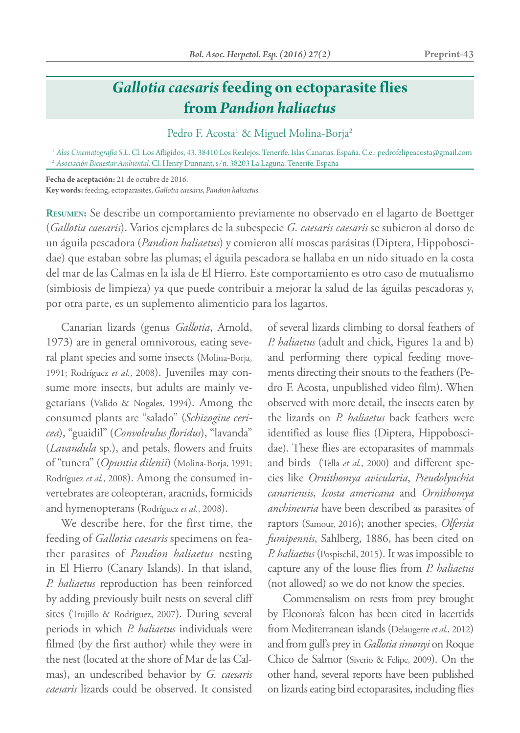## *Gallotia caesaris* **feeding on ectoparasite flies from** *Pandion haliaetus*

Pedro F. Acosta<sup>1</sup> & Miguel Molina-Borja<sup>2</sup>

<sup>1</sup> Alas Cinematografía S.L. Cl. Los Afligidos, 43. 38410 Los Realejos. Tenerife. Islas Canarias. España. C.e.: pedrofelipeacosta@gmail.com <sup>2</sup> *Asociación Bienestar Ambiental*. Cl. Henry Dunnant, s/n. 38203 La Laguna. Tenerife. España

**Fecha de aceptación:** 21 de octubre de 2016.

**Key words:** feeding, ectoparasites, *Gallotia caesaris*, *Pandion haliaetus*.

**Resumen:** Se describe un comportamiento previamente no observado en el lagarto de Boettger (*Gallotia caesaris*). Varios ejemplares de la subespecie *G. caesaris caesaris* se subieron al dorso de un águila pescadora (*Pandion haliaetus*) y comieron allí moscas parásitas (Diptera, Hippoboscidae) que estaban sobre las plumas; el águila pescadora se hallaba en un nido situado en la costa del mar de las Calmas en la isla de El Hierro. Este comportamiento es otro caso de mutualismo (simbiosis de limpieza) ya que puede contribuir a mejorar la salud de las águilas pescadoras y, por otra parte, es un suplemento alimenticio para los lagartos.

Canarian lizards (genus *Gallotia*, Arnold, 1973) are in general omnivorous, eating several plant species and some insects (Molina-Borja, 1991; Rodríguez *et al.*, 2008). Juveniles may consume more insects, but adults are mainly vegetarians (Valido & Nogales, 1994). Among the consumed plants are "salado" (*Schizogine cericea*), "guaidil" (*Convolvulus floridus*), "lavanda" (*Lavandula* sp.), and petals, flowers and fruits of "tunera" (*Opuntia dilenii*) (Molina-Borja, 1991; Rodríguez *et al.*, 2008). Among the consumed invertebrates are coleopteran, aracnids, formicids and hymenopterans (Rodríguez *et al.*, 2008).

We describe here, for the first time, the feeding of *Gallotia caesaris* specimens on feather parasites of *Pandion haliaetus* nesting in El Hierro (Canary Islands). In that island, *P. haliaetus* reproduction has been reinforced by adding previously built nests on several cliff sites (Trujillo & Rodríguez, 2007). During several periods in which *P. haliaetus* individuals were filmed (by the first author) while they were in the nest (located at the shore of Mar de las Calmas), an undescribed behavior by *G. caesaris caesaris* lizards could be observed. It consisted

of several lizards climbing to dorsal feathers of *P. haliaetus* (adult and chick, Figures 1a and b) and performing there typical feeding movements directing their snouts to the feathers (Pedro F. Acosta, unpublished video film). When observed with more detail, the insects eaten by the lizards on *P. haliaetus* back feathers were identified as louse flies (Diptera, Hippoboscidae). These flies are ectoparasites of mammals and birds (Tella *et al.*, 2000) and different species like *Ornithomya avicularia*, *Pseudolynchia canariensis*, *Icosta americana* and *Ornithomya anchineuria* have been described as parasites of raptors (Samour, 2016); another species, *Olfersia fumipennis*, Sahlberg, 1886, has been cited on *P. haliaetus* (Pospischil, 2015). It was impossible to capture any of the louse flies from *P. haliaetus* (not allowed) so we do not know the species.

Commensalism on rests from prey brought by Eleonora's falcon has been cited in lacertids from Mediterranean islands (Delaugerre *et al.*, 2012) and from gull's prey in *Gallotia simonyi* on Roque Chico de Salmor (Siverio & Felipe, 2009). On the other hand, several reports have been published on lizards eating bird ectoparasites, including flies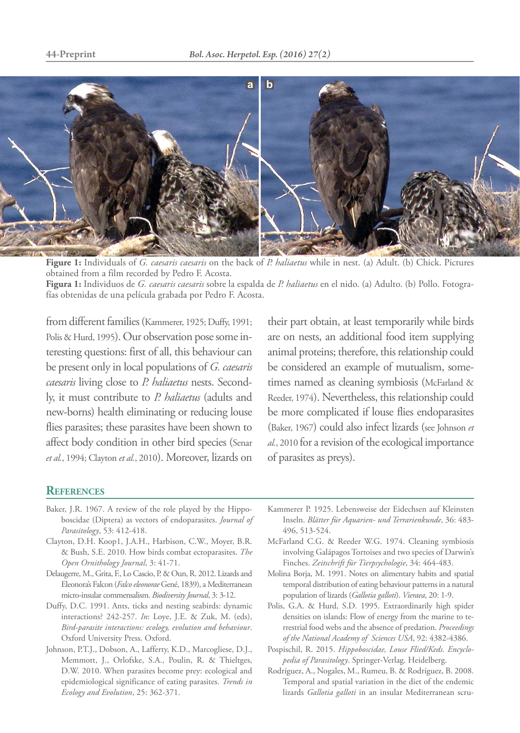

**Figure 1:** Individuals of *G. caesaris caesaris* on the back of *P. haliaetus* while in nest. (a) Adult. (b) Chick. Pictures obtained from a film recorded by Pedro F. Acosta. **Figura 1:** Individuos de *G. caesaris caesaris* sobre la espalda de *P. haliaetus* en el nido. (a) Adulto. (b) Pollo. Fotogra-

fías obtenidas de una película grabada por Pedro F. Acosta.

from different families (Kammerer, 1925; Duffy, 1991; Polis & Hurd, 1995). Our observation pose some interesting questions: first of all, this behaviour can be present only in local populations of *G. caesaris caesaris* living close to *P. haliaetus* nests. Secondly, it must contribute to *P. haliaetus* (adults and new-borns) health eliminating or reducing louse flies parasites; these parasites have been shown to affect body condition in other bird species (Senar *et al.*, 1994; Clayton *et al.*, 2010). Moreover, lizards on

their part obtain, at least temporarily while birds are on nests, an additional food item supplying animal proteins; therefore, this relationship could be considered an example of mutualism, sometimes named as cleaning symbiosis (McFarland & Reeder, 1974). Nevertheless, this relationship could be more complicated if louse flies endoparasites (Baker, 1967) could also infect lizards (see Johnson *et al.*, 2010 for a revision of the ecological importance of parasites as preys).

## **References**

- Baker, J.R. 1967. A review of the role played by the Hippoboscidae (Diptera) as vectors of endoparasites. *Journal of Parasitology*, 53: 412-418.
- Clayton, D.H. Koop1, J.A.H., Harbison, C.W., Moyer, B.R. & Bush, S.E. 2010. How birds combat ectoparasites. *The Open Ornithology Journal*, 3: 41-71.
- Delaugerre, M., Grita, F., Lo Cascio, P. & Oun, R. 2012. Lizards and Eleonora's Falcon (*Falco eleonorae* Gené, 1839), a Mediterranean micro-insular commensalism. *Biodiversity Journal*, 3: 3-12.
- Duffy, D.C. 1991. Ants, ticks and nesting seabirds: dynamic interactions? 242-257. *In*: Loye, J.E. & Zuk, M. (eds), *Bird-parasite interactions: ecology, evolution and behaviour*. Oxford University Press. Oxford.
- Johnson, P.T.J., Dobson, A., Lafferty, K.D., Marcogliese, D.J., Memmott, J., Orlofske, S.A., Poulin, R. & Thieltges, D.W. 2010. When parasites become prey: ecological and epidemiological significance of eating parasites. *Trends in Ecology and Evolution*, 25: 362-371.
- Kammerer P. 1925. Lebensweise der Eidechsen auf Kleinsten Inseln. *Blätter für Aquarien- und Terrarienkunde*, 36: 483- 496, 513-524.
- McFarland C.G. & Reeder W.G. 1974. Cleaning symbiosis involving Galápagos Tortoises and two species of Darwin's Finches. *Zeitschrift für Tierpsychologie*, 34: 464-483.
- Molina Borja, M. 1991. Notes on alimentary habits and spatial temporal distribution of eating behaviour patterns in a natural population of lizards (*Gallotia galloti*). *Vieraea*, 20: 1-9.
- Polis, G.A. & Hurd, S.D. 1995. Extraordinarily high spider densities on islands: Flow of energy from the marine to terrestrial food webs and the absence of predation. *Proceedings of the National Academy of Sciences USA*, 92: 4382-4386.
- Pospischil, R. 2015. *Hippoboscidae, Louse Flied/Keds. Encyclopedia of Parasitology*. Springer-Verlag. Heidelberg.
- Rodríguez, A., Nogales, M., Rumeu, B. & Rodríguez, B. 2008. Temporal and spatial variation in the diet of the endemic lizards *Gallotia galloti* in an insular Mediterranean scru-